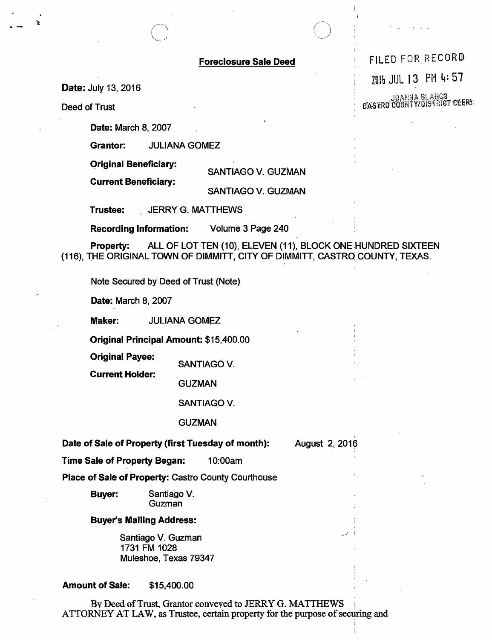Date: July 13, 2016

Deed of Trust

Date: March 8, 2007

Grantor: JULIANA GOMEZ

Original Beneficiary:

Current Beneficiary:

SANTIAGO V. GUZMAN

SANTIAGO V. GUZMAN

Trustee: JERRY G. MATTHEWS

Recording Information: Volume 3 Page 240

Property: ALL OF LOT TEN (10), ELEVEN (11), BLOCK ONE HUNDRED SIXTEEN (116), THE ORIGINAL TOWN OF DIMMITT, CITY OF DIMMITT, CASTRQ COUNTY, TEXAS.

Note Secured by Deed of Trust (Note)

Date: March 8, 2007

Maker: JULIANA GOMEZ

Original Principal Amount: \$15,400.00

Original Payee:

SANTIAGO V. Current Holder:

**GUZMAN** 

SANTIAGO V.

**GUZMAN** 

, Date of Sale of Property (first Tuesday of month): August 2, 2016

i

Time Sale of Property Began: 10:00am

Place of Sale of Property: Castro County Courthouse

Buyer: Santiago V. Guzman

## Buyer"s Mailing Address:

Santiago V. Guzman 1731 FM 1028 Muleshoe, Texas 79347

Amount of Sale: \$15,400.00

By Deed of Trust, Grantor conveyed to JERRY G. MATTHEWS ATTORNEY AT LAW, as Trustee, certain property for the purpose of securing and

Foreclosure Sale Deed FILED FOR RECORD

i I

2016 JUL 13 PM 4: 57

**JOANNA BLANCO**<br>**CASTRO COURTY/DISTRICT CEERI**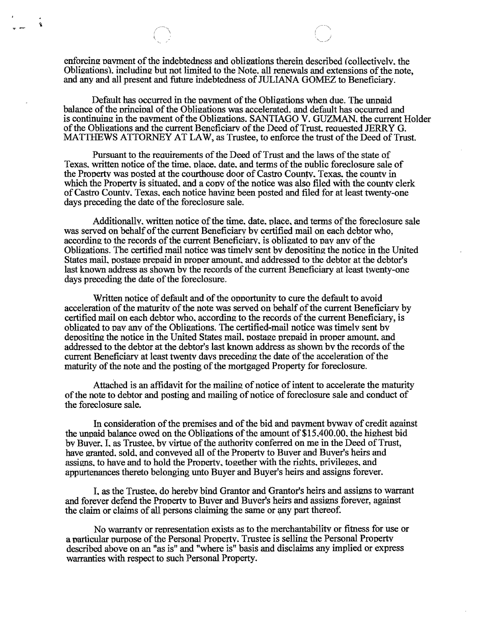enforcing payment of the indebtedness and obligations therein described (collectively, the Obligations), including but not limited to the Note, all renewals and extensions of the note, and any and all present and future indebtedness of JULIANA GOMEZ to Beneficiary.

 $\hat{\mathbf{z}}$ 

Default has occurred in the payment of the Obligations when due. The unpaid balance of the principal of the Obligations was accelerated, and default has occurred and is continuing in the pavment of the Obligations. SANTIAGO V. GUZMAN, the current Holder of the Obligations and the current Beneficiary of the Deed of Trust, requested JERRY G. MATTHEWS ATTORNEY AT LAW, as Trustee, to enforce the trust of the Deed of Trust.

Pursuant to the requirements of the Deed of Trust and the laws of the state of Texas, written notice of the time, place, date, and terms of the public foreclosure sale of the Property was posted at the courthouse door of Castro County. Texas. the countv in which the Property is situated, and a copy of the notice was also filed with the county clerk of Castro County. Texas, each notice having been posted and filed for at least twenty-one days preceding the date of the foreclosure sale.

Additionally, written notice of the time, date, place, and terms of the foreclosure sale was served on behalf of the current Beneficiary by certified mail on each debtor who, according to the records of the current Beneficiary, is obligated to pay any of the Obligations. The certified mail notice was timely sent by depositing the notice in the United States mail, postage prepaid in proper amount, and addressed to the debtor at the debtor's last known address as shown by the records of the current Beneficiary at least twenty-one days preceding the date of the foreclosure.

Written notice of default and of the opportunity to cure the default to avoid acceleration of the maturity of the note was served on behalf of the current Beneficiary by certified mail on each debtor who, according to the records of the current Beneficiary, is obligated to pay any of the Obligations. The certified-mail notice was timely sent by depositing the notice in the United States mail, postage prepaid in proper amount, and addressed to the debtor at the debtor's last known address as shown by the records of the current Beneficiary at least twenty days preceding the date of the acceleration of the maturity of the note and the posting of the mortgaged Property for foreclosure.

Attached is an affidavit for the mailing of notice of intent to accelerate the maturity of the note to debtor and posting and mailing of notice of foreclosure sale and conduct of the foreclosure sale.

In consideration of the premises and of the bid and payment byway of credit against the unpaid balance owed on the Obligations of the amount of  $$15,400.00$ , the highest bid by Buyer. I. as Trustee, by virtue of the authority conferred on me in the Deed of Trust, have granted, sold, and conveved all of the Property to Buyer and Buyer's heirs and assigns, to have and to hold the Property, together with the rights, privileges, and appurtenances thereto belonging unto Buyer and Buyer's heirs and assigns forever.

1. as the Trustee. do hereby bind Grantor and Grantor's heirs and assigns to warrant and forever defend the Property to Buver and Buyer's heirs and assigns forever, against the claim or claims of all persons claiming the same or any part thereof.

No warranty or representation exists as to the merchantability or fitness for use or a particular purpose of the Personal Property. Trustee is selling the Personal Property described above on an "as is" and "where is" basis and disclaims any implied or express warranties with respect to such Personal Property.